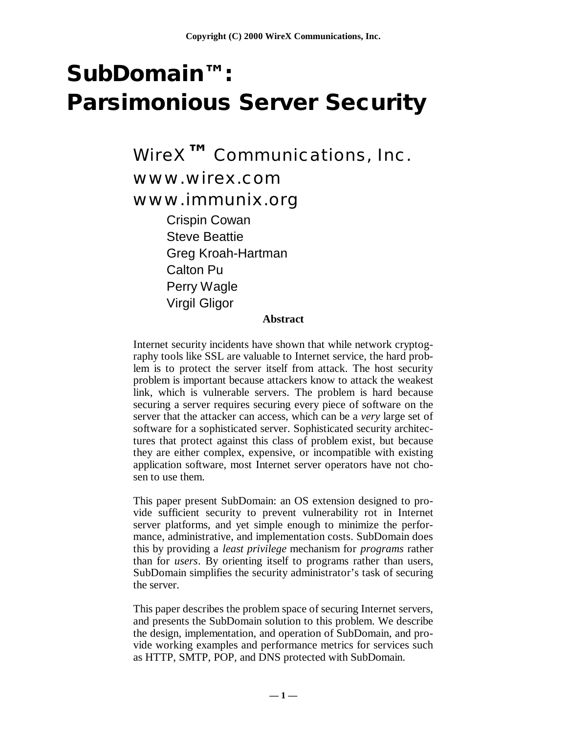# **SubDomain™ : Parsimonious Server Security**

WireX**™** Communications, Inc. www.wirex.com www.immunix.org Crispin Cowan Steve Beattie Greg Kroah-Hartman Calton Pu Perry Wagle Virgil Gligor

#### **Abstract**

Internet security incidents have shown that while network cryptography tools like SSL are valuable to Internet service, the hard problem is to protect the server itself from attack. The host security problem is important because attackers know to attack the weakest link, which is vulnerable servers. The problem is hard because securing a server requires securing every piece of software on the server that the attacker can access, which can be a *very* large set of software for a sophisticated server. Sophisticated security architectures that protect against this class of problem exist, but because they are either complex, expensive, or incompatible with existing application software, most Internet server operators have not chosen to use them.

This paper present SubDomain: an OS extension designed to provide sufficient security to prevent vulnerability rot in Internet server platforms, and yet simple enough to minimize the performance, administrative, and implementation costs. SubDomain does this by providing a *least privilege* mechanism for *programs* rather than for *users*. By orienting itself to programs rather than users, SubDomain simplifies the security administrator's task of securing the server.

This paper describes the problem space of securing Internet servers, and presents the SubDomain solution to this problem. We describe the design, implementation, and operation of SubDomain, and provide working examples and performance metrics for services such as HTTP, SMTP, POP, and DNS protected with SubDomain.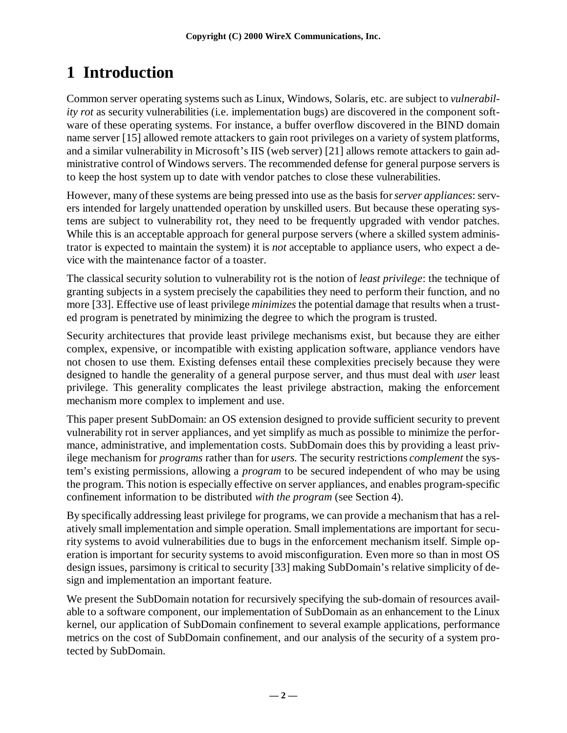## **1 Introduction**

Common server operating systems such as Linux, Windows, Solaris, etc. are subject to *vulnerability rot* as security vulnerabilities (i.e. implementation bugs) are discovered in the component software of these operating systems. For instance, a buffer overflow discovered in the BIND domain name server [15] allowed remote attackers to gain root privileges on a variety of system platforms, and a similar vulnerability in Microsoft's IIS (web server) [21] allows remote attackers to gain administrative control of Windows servers. The recommended defense for general purpose servers is to keep the host system up to date with vendor patches to close these vulnerabilities.

However, many of these systems are being pressed into use as the basis for *server appliances*: servers intended for largely unattended operation by unskilled users. But because these operating systems are subject to vulnerability rot, they need to be frequently upgraded with vendor patches. While this is an acceptable approach for general purpose servers (where a skilled system administrator is expected to maintain the system) it is *not* acceptable to appliance users, who expect a device with the maintenance factor of a toaster.

The classical security solution to vulnerability rot is the notion of *least privilege*: the technique of granting subjects in a system precisely the capabilities they need to perform their function, and no more [33]. Effective use of least privilege *minimizes* the potential damage that results when a trusted program is penetrated by minimizing the degree to which the program is trusted.

Security architectures that provide least privilege mechanisms exist, but because they are either complex, expensive, or incompatible with existing application software, appliance vendors have not chosen to use them. Existing defenses entail these complexities precisely because they were designed to handle the generality of a general purpose server, and thus must deal with *user* least privilege. This generality complicates the least privilege abstraction, making the enforcement mechanism more complex to implement and use.

This paper present SubDomain: an OS extension designed to provide sufficient security to prevent vulnerability rot in server appliances, and yet simplify as much as possible to minimize the performance, administrative, and implementation costs. SubDomain does this by providing a least privilege mechanism for *programs* rather than for *users.* The security restrictions *complement* the system's existing permissions, allowing a *program* to be secured independent of who may be using the program. This notion is especially effective on server appliances, and enables program-specific confinement information to be distributed *with the program* (see Section 4).

By specifically addressing least privilege for programs, we can provide a mechanism that has a relatively small implementation and simple operation. Small implementations are important for security systems to avoid vulnerabilities due to bugs in the enforcement mechanism itself. Simple operation is important for security systems to avoid misconfiguration. Even more so than in most OS design issues, parsimony is critical to security [33] making SubDomain's relative simplicity of design and implementation an important feature.

We present the SubDomain notation for recursively specifying the sub-domain of resources available to a software component, our implementation of SubDomain as an enhancement to the Linux kernel, our application of SubDomain confinement to several example applications, performance metrics on the cost of SubDomain confinement, and our analysis of the security of a system protected by SubDomain.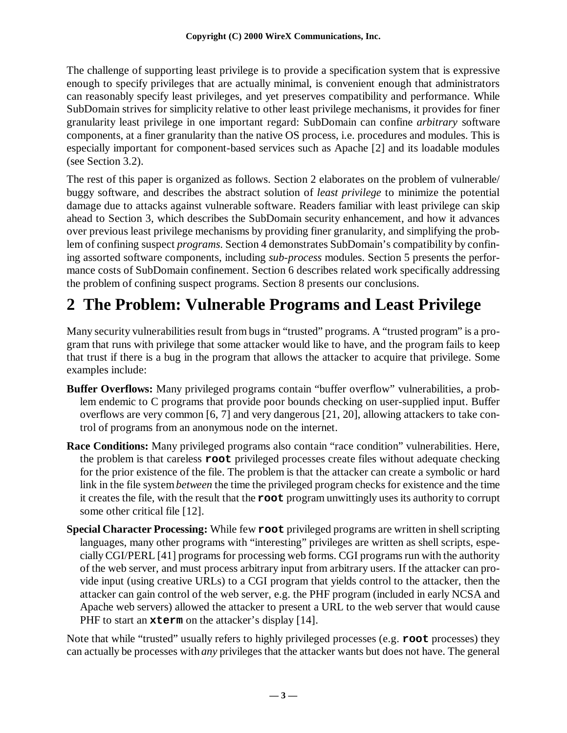The challenge of supporting least privilege is to provide a specification system that is expressive enough to specify privileges that are actually minimal, is convenient enough that administrators can reasonably specify least privileges, and yet preserves compatibility and performance. While SubDomain strives for simplicity relative to other least privilege mechanisms, it provides for finer granularity least privilege in one important regard: SubDomain can confine *arbitrary* software components, at a finer granularity than the native OS process, i.e. procedures and modules. This is especially important for component-based services such as Apache [2] and its loadable modules (see Section 3.2).

The rest of this paper is organized as follows. Section 2 elaborates on the problem of vulnerable/ buggy software, and describes the abstract solution of *least privilege* to minimize the potential damage due to attacks against vulnerable software. Readers familiar with least privilege can skip ahead to Section 3, which describes the SubDomain security enhancement, and how it advances over previous least privilege mechanisms by providing finer granularity, and simplifying the problem of confining suspect *programs*. Section 4 demonstrates SubDomain's compatibility by confining assorted software components, including *sub-process* modules. Section 5 presents the performance costs of SubDomain confinement. Section 6 describes related work specifically addressing the problem of confining suspect programs. Section 8 presents our conclusions.

## **2 The Problem: Vulnerable Programs and Least Privilege**

Many security vulnerabilities result from bugs in "trusted" programs. A "trusted program" is a program that runs with privilege that some attacker would like to have, and the program fails to keep that trust if there is a bug in the program that allows the attacker to acquire that privilege. Some examples include:

- **Buffer Overflows:** Many privileged programs contain "buffer overflow" vulnerabilities, a problem endemic to C programs that provide poor bounds checking on user-supplied input. Buffer overflows are very common [6, 7] and very dangerous [21, 20], allowing attackers to take control of programs from an anonymous node on the internet.
- **Race Conditions:** Many privileged programs also contain "race condition" vulnerabilities. Here, the problem is that careless **root** privileged processes create files without adequate checking for the prior existence of the file. The problem is that the attacker can create a symbolic or hard link in the file system *between* the time the privileged program checks for existence and the time it creates the file, with the result that the **root** program unwittingly uses its authority to corrupt some other critical file [12].
- **Special Character Processing:** While few **root** privileged programs are written in shell scripting languages, many other programs with "interesting" privileges are written as shell scripts, especially CGI/PERL [41] programs for processing web forms. CGI programs run with the authority of the web server, and must process arbitrary input from arbitrary users. If the attacker can provide input (using creative URLs) to a CGI program that yields control to the attacker, then the attacker can gain control of the web server, e.g. the PHF program (included in early NCSA and Apache web servers) allowed the attacker to present a URL to the web server that would cause PHF to start an **xterm** on the attacker's display [14].

Note that while "trusted" usually refers to highly privileged processes (e.g. **root** processes) they can actually be processes with *any* privileges that the attacker wants but does not have. The general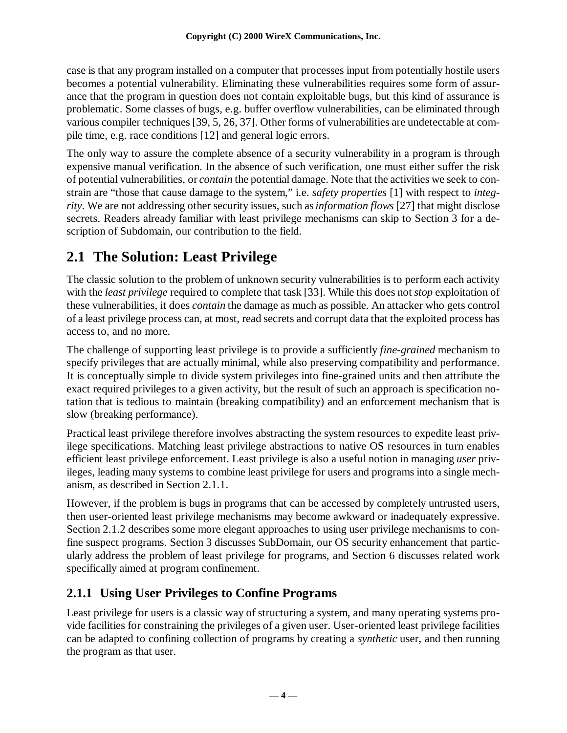case is that any program installed on a computer that processes input from potentially hostile users becomes a potential vulnerability. Eliminating these vulnerabilities requires some form of assurance that the program in question does not contain exploitable bugs, but this kind of assurance is problematic. Some classes of bugs, e.g. buffer overflow vulnerabilities, can be eliminated through various compiler techniques [39, 5, 26, 37]. Other forms of vulnerabilities are undetectable at compile time, e.g. race conditions [12] and general logic errors.

The only way to assure the complete absence of a security vulnerability in a program is through expensive manual verification. In the absence of such verification, one must either suffer the risk of potential vulnerabilities, or *contain* the potential damage. Note that the activities we seek to constrain are "those that cause damage to the system," i.e. *safety properties* [1] with respect to *integrity*. We are not addressing other security issues, such as *information flows* [27] that might disclose secrets. Readers already familiar with least privilege mechanisms can skip to Section 3 for a description of Subdomain, our contribution to the field.

### **2.1 The Solution: Least Privilege**

The classic solution to the problem of unknown security vulnerabilities is to perform each activity with the *least privilege* required to complete that task [33]. While this does not *stop* exploitation of these vulnerabilities, it does *contain* the damage as much as possible. An attacker who gets control of a least privilege process can, at most, read secrets and corrupt data that the exploited process has access to, and no more.

The challenge of supporting least privilege is to provide a sufficiently *fine-grained* mechanism to specify privileges that are actually minimal, while also preserving compatibility and performance. It is conceptually simple to divide system privileges into fine-grained units and then attribute the exact required privileges to a given activity, but the result of such an approach is specification notation that is tedious to maintain (breaking compatibility) and an enforcement mechanism that is slow (breaking performance).

Practical least privilege therefore involves abstracting the system resources to expedite least privilege specifications. Matching least privilege abstractions to native OS resources in turn enables efficient least privilege enforcement. Least privilege is also a useful notion in managing *user* privileges, leading many systems to combine least privilege for users and programs into a single mechanism, as described in Section 2.1.1.

However, if the problem is bugs in programs that can be accessed by completely untrusted users, then user-oriented least privilege mechanisms may become awkward or inadequately expressive. Section 2.1.2 describes some more elegant approaches to using user privilege mechanisms to confine suspect programs. Section 3 discusses SubDomain, our OS security enhancement that particularly address the problem of least privilege for programs, and Section 6 discusses related work specifically aimed at program confinement.

#### **2.1.1 Using User Privileges to Confine Programs**

Least privilege for users is a classic way of structuring a system, and many operating systems provide facilities for constraining the privileges of a given user. User-oriented least privilege facilities can be adapted to confining collection of programs by creating a *synthetic* user, and then running the program as that user.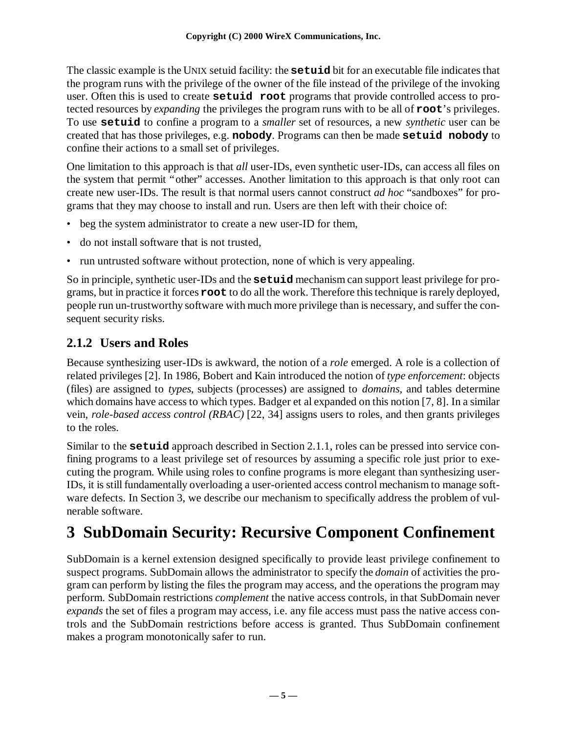The classic example is the UNIX setuid facility: the **setuid** bit for an executable file indicates that the program runs with the privilege of the owner of the file instead of the privilege of the invoking user. Often this is used to create **setuid root** programs that provide controlled access to protected resources by *expanding* the privileges the program runs with to be all of **root**'s privileges. To use **setuid** to confine a program to a *smaller* set of resources, a new *synthetic* user can be created that has those privileges, e.g. **nobody**. Programs can then be made **setuid nobody** to confine their actions to a small set of privileges.

One limitation to this approach is that *all* user-IDs, even synthetic user-IDs, can access all files on the system that permit "other" accesses. Another limitation to this approach is that only root can create new user-IDs. The result is that normal users cannot construct *ad hoc* "sandboxes" for programs that they may choose to install and run. Users are then left with their choice of:

- beg the system administrator to create a new user-ID for them,
- do not install software that is not trusted,
- run untrusted software without protection, none of which is very appealing.

So in principle, synthetic user-IDs and the **setuid** mechanism can support least privilege for programs, but in practice it forces **root** to do all the work. Therefore this technique is rarely deployed, people run un-trustworthy software with much more privilege than is necessary, and suffer the consequent security risks.

#### **2.1.2 Users and Roles**

Because synthesizing user-IDs is awkward, the notion of a *role* emerged. A role is a collection of related privileges [2]. In 1986, Bobert and Kain introduced the notion of *type enforcement*: objects (files) are assigned to *types*, subjects (processes) are assigned to *domains*, and tables determine which domains have access to which types. Badger et al expanded on this notion [7, 8]. In a similar vein, *role-based access control (RBAC)* [22, 34] assigns users to roles, and then grants privileges to the roles.

Similar to the **setuid** approach described in Section 2.1.1, roles can be pressed into service confining programs to a least privilege set of resources by assuming a specific role just prior to executing the program. While using roles to confine programs is more elegant than synthesizing user-IDs, it is still fundamentally overloading a user-oriented access control mechanism to manage software defects. In Section 3, we describe our mechanism to specifically address the problem of vulnerable software.

## **3 SubDomain Security: Recursive Component Confinement**

SubDomain is a kernel extension designed specifically to provide least privilege confinement to suspect programs. SubDomain allows the administrator to specify the *domain* of activities the program can perform by listing the files the program may access, and the operations the program may perform. SubDomain restrictions *complement* the native access controls, in that SubDomain never *expands* the set of files a program may access, i.e. any file access must pass the native access controls and the SubDomain restrictions before access is granted. Thus SubDomain confinement makes a program monotonically safer to run.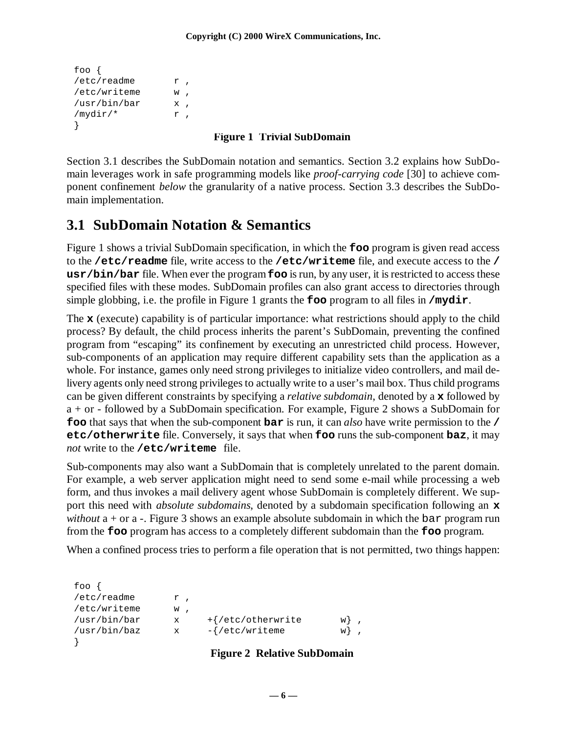```
foo {
/etc/readme r,
/etc/writeme w ,
/usr/bin/bar x ,
/mydir/* r,
}
```
#### **Figure 1 Trivial SubDomain**

Section 3.1 describes the SubDomain notation and semantics. Section 3.2 explains how SubDomain leverages work in safe programming models like *proof-carrying code* [30] to achieve component confinement *below* the granularity of a native process. Section 3.3 describes the SubDomain implementation.

#### **3.1 SubDomain Notation & Semantics**

Figure 1 shows a trivial SubDomain specification, in which the **foo** program is given read access to the **/etc/readme** file, write access to the **/etc/writeme** file, and execute access to the **/ usr/bin/bar** file. When ever the program **foo** is run, by any user, it is restricted to access these specified files with these modes. SubDomain profiles can also grant access to directories through simple globbing, i.e. the profile in Figure 1 grants the **foo** program to all files in **/mydir**.

The **x** (execute) capability is of particular importance: what restrictions should apply to the child process? By default, the child process inherits the parent's SubDomain, preventing the confined program from "escaping" its confinement by executing an unrestricted child process. However, sub-components of an application may require different capability sets than the application as a whole. For instance, games only need strong privileges to initialize video controllers, and mail delivery agents only need strong privileges to actually write to a user's mail box. Thus child programs can be given different constraints by specifying a *relative subdomain*, denoted by a **x** followed by a + or - followed by a SubDomain specification. For example, Figure 2 shows a SubDomain for **foo** that says that when the sub-component **bar** is run, it can *also* have write permission to the **/ etc/otherwrite** file. Conversely, it says that when **foo** runs the sub-component **baz**, it may *not* write to the **/etc/writeme** file.

Sub-components may also want a SubDomain that is completely unrelated to the parent domain. For example, a web server application might need to send some e-mail while processing a web form, and thus invokes a mail delivery agent whose SubDomain is completely different. We support this need with *absolute subdomains*, denoted by a subdomain specification following an **x** *without*  $a + or a$ . Figure 3 shows an example absolute subdomain in which the bar program run from the **foo** program has access to a completely different subdomain than the **foo** program.

When a confined process tries to perform a file operation that is not permitted, two things happen:

| foo $\{$     |    |                                    |        |
|--------------|----|------------------------------------|--------|
| /etc/readme  | r, |                                    |        |
| /etc/writeme | w, |                                    |        |
| /usr/bin/bar | x  | $+\frac{7}{6}$ /etc/otherwrite     | $w \}$ |
| /usr/bin/baz | X  | $-\frac{1}{\epsilon}$ /etc/writeme | $w$ }  |
|              |    |                                    |        |

#### **Figure 2 Relative SubDomain**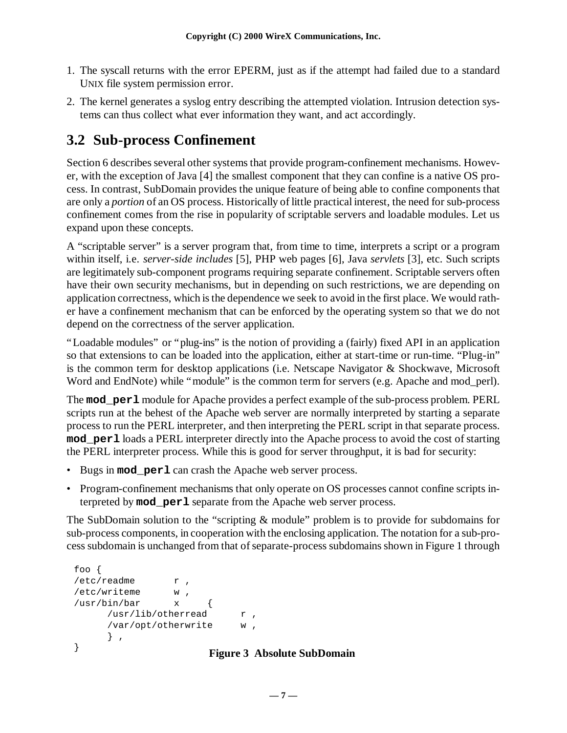- 1. The syscall returns with the error EPERM, just as if the attempt had failed due to a standard UNIX file system permission error.
- 2. The kernel generates a syslog entry describing the attempted violation. Intrusion detection systems can thus collect what ever information they want, and act accordingly.

#### **3.2 Sub-process Confinement**

Section 6 describes several other systems that provide program-confinement mechanisms. However, with the exception of Java [4] the smallest component that they can confine is a native OS process. In contrast, SubDomain provides the unique feature of being able to confine components that are only a *portion* of an OS process. Historically of little practical interest, the need for sub-process confinement comes from the rise in popularity of scriptable servers and loadable modules. Let us expand upon these concepts.

A "scriptable server" is a server program that, from time to time, interprets a script or a program within itself, i.e. *server-side includes* [5], PHP web pages [6], Java *servlets* [3], etc. Such scripts are legitimately sub-component programs requiring separate confinement. Scriptable servers often have their own security mechanisms, but in depending on such restrictions, we are depending on application correctness, which is the dependence we seek to avoid in the first place. We would rather have a confinement mechanism that can be enforced by the operating system so that we do not depend on the correctness of the server application.

"Loadable modules" or "plug-ins" is the notion of providing a (fairly) fixed API in an application so that extensions to can be loaded into the application, either at start-time or run-time. "Plug-in" is the common term for desktop applications (i.e. Netscape Navigator & Shockwave, Microsoft Word and EndNote) while "module" is the common term for servers (e.g. Apache and mod\_perl).

The **mod\_perl** module for Apache provides a perfect example of the sub-process problem. PERL scripts run at the behest of the Apache web server are normally interpreted by starting a separate process to run the PERL interpreter, and then interpreting the PERL script in that separate process. **mod\_perl** loads a PERL interpreter directly into the Apache process to avoid the cost of starting the PERL interpreter process. While this is good for server throughput, it is bad for security:

- Bugs in **mod\_perl** can crash the Apache web server process.
- Program-confinement mechanisms that only operate on OS processes cannot confine scripts interpreted by **mod\_perl** separate from the Apache web server process.

The SubDomain solution to the "scripting & module" problem is to provide for subdomains for sub-process components, in cooperation with the enclosing application. The notation for a sub-process subdomain is unchanged from that of separate-process subdomains shown in Figure 1 through

```
foo {
/etc/readme r,
/etc/writeme w ,
\{ \text{usr/bin/bar} x {
     /usr/lib/otherread r,
     /var/opt/otherwrite w ,
     } ,
}
```
#### **Figure 3 Absolute SubDomain**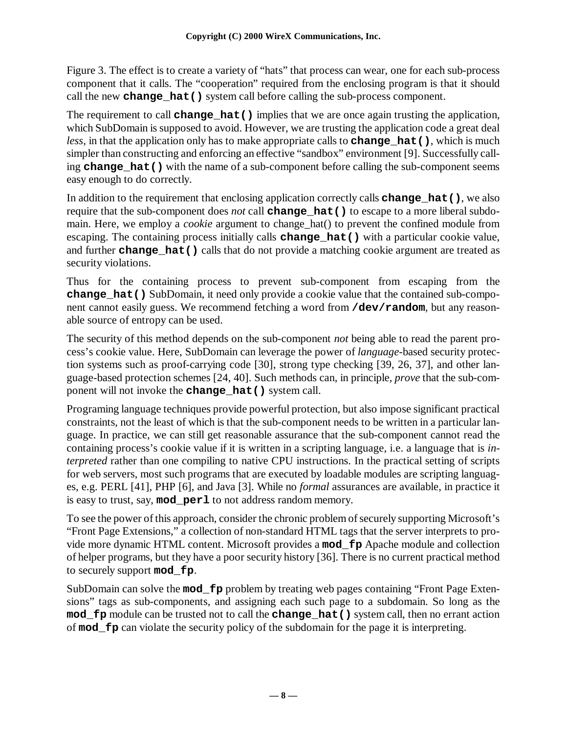Figure 3. The effect is to create a variety of "hats" that process can wear, one for each sub-process component that it calls. The "cooperation" required from the enclosing program is that it should call the new **change\_hat()** system call before calling the sub-process component.

The requirement to call **change\_hat()** implies that we are once again trusting the application, which SubDomain is supposed to avoid. However, we are trusting the application code a great deal *less*, in that the application only has to make appropriate calls to **change** hat(), which is much simpler than constructing and enforcing an effective "sandbox" environment [9]. Successfully calling **change\_hat()** with the name of a sub-component before calling the sub-component seems easy enough to do correctly.

In addition to the requirement that enclosing application correctly calls **change\_hat()**, we also require that the sub-component does *not* call **change\_hat()** to escape to a more liberal subdomain. Here, we employ a *cookie* argument to change\_hat() to prevent the confined module from escaping. The containing process initially calls **change\_hat()** with a particular cookie value, and further **change** hat () calls that do not provide a matching cookie argument are treated as security violations.

Thus for the containing process to prevent sub-component from escaping from the **change\_hat()** SubDomain, it need only provide a cookie value that the contained sub-component cannot easily guess. We recommend fetching a word from **/dev/random**, but any reasonable source of entropy can be used.

The security of this method depends on the sub-component *not* being able to read the parent process's cookie value. Here, SubDomain can leverage the power of *language*-based security protection systems such as proof-carrying code [30], strong type checking [39, 26, 37], and other language-based protection schemes [24, 40]. Such methods can, in principle, *prove* that the sub-component will not invoke the **change\_hat()** system call.

Programing language techniques provide powerful protection, but also impose significant practical constraints, not the least of which is that the sub-component needs to be written in a particular language. In practice, we can still get reasonable assurance that the sub-component cannot read the containing process's cookie value if it is written in a scripting language, i.e. a language that is *interpreted* rather than one compiling to native CPU instructions. In the practical setting of scripts for web servers, most such programs that are executed by loadable modules are scripting languages, e.g. PERL [41], PHP [6], and Java [3]. While no *formal* assurances are available, in practice it is easy to trust, say, **mod\_perl** to not address random memory.

To see the power of this approach, consider the chronic problem of securely supporting Microsoft's "Front Page Extensions," a collection of non-standard HTML tags that the server interprets to provide more dynamic HTML content. Microsoft provides a **mod\_fp** Apache module and collection of helper programs, but they have a poor security history [36]. There is no current practical method to securely support **mod\_fp**.

SubDomain can solve the **mod\_fp** problem by treating web pages containing "Front Page Extensions" tags as sub-components, and assigning each such page to a subdomain. So long as the **mod\_fp** module can be trusted not to call the **change\_hat()** system call, then no errant action of **mod\_fp** can violate the security policy of the subdomain for the page it is interpreting.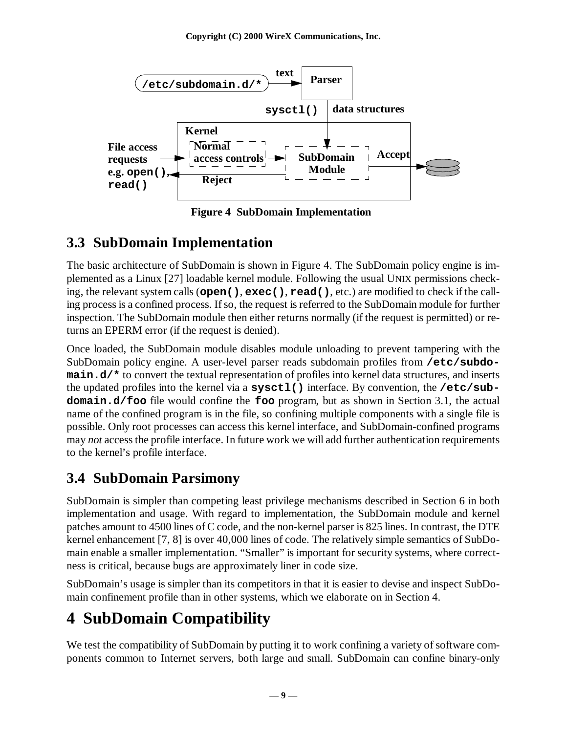

**Figure 4 SubDomain Implementation**

### **3.3 SubDomain Implementation**

The basic architecture of SubDomain is shown in Figure 4. The SubDomain policy engine is implemented as a Linux [27] loadable kernel module. Following the usual UNIX permissions checking, the relevant system calls (**open()**, **exec()**, **read()**, etc.) are modified to check if the calling process is a confined process. If so, the request is referred to the SubDomain module for further inspection. The SubDomain module then either returns normally (if the request is permitted) or returns an EPERM error (if the request is denied).

Once loaded, the SubDomain module disables module unloading to prevent tampering with the SubDomain policy engine. A user-level parser reads subdomain profiles from **/etc/subdomain.d/\*** to convert the textual representation of profiles into kernel data structures, and inserts the updated profiles into the kernel via a **sysctl()** interface. By convention, the **/etc/subdomain.d/foo** file would confine the **foo** program, but as shown in Section 3.1, the actual name of the confined program is in the file, so confining multiple components with a single file is possible. Only root processes can access this kernel interface, and SubDomain-confined programs may *not* access the profile interface. In future work we will add further authentication requirements to the kernel's profile interface.

### **3.4 SubDomain Parsimony**

SubDomain is simpler than competing least privilege mechanisms described in Section 6 in both implementation and usage. With regard to implementation, the SubDomain module and kernel patches amount to 4500 lines of C code, and the non-kernel parser is 825 lines. In contrast, the DTE kernel enhancement [7, 8] is over 40,000 lines of code. The relatively simple semantics of SubDomain enable a smaller implementation. "Smaller" is important for security systems, where correctness is critical, because bugs are approximately liner in code size.

SubDomain's usage is simpler than its competitors in that it is easier to devise and inspect SubDomain confinement profile than in other systems, which we elaborate on in Section 4.

## **4 SubDomain Compatibility**

We test the compatibility of SubDomain by putting it to work confining a variety of software components common to Internet servers, both large and small. SubDomain can confine binary-only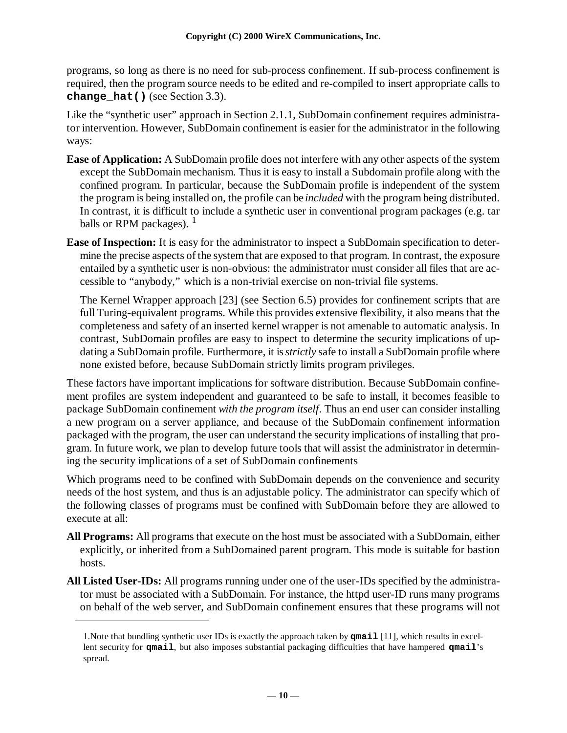programs, so long as there is no need for sub-process confinement. If sub-process confinement is required, then the program source needs to be edited and re-compiled to insert appropriate calls to **change\_hat()** (see Section 3.3).

Like the "synthetic user" approach in Section 2.1.1, SubDomain confinement requires administrator intervention. However, SubDomain confinement is easier for the administrator in the following ways:

- **Ease of Application:** A SubDomain profile does not interfere with any other aspects of the system except the SubDomain mechanism. Thus it is easy to install a Subdomain profile along with the confined program. In particular, because the SubDomain profile is independent of the system the program is being installed on, the profile can be *included* with the program being distributed. In contrast, it is difficult to include a synthetic user in conventional program packages (e.g. tar balls or RPM packages).  $<sup>1</sup>$ </sup>
- **Ease of Inspection:** It is easy for the administrator to inspect a SubDomain specification to determine the precise aspects of the system that are exposed to that program. In contrast, the exposure entailed by a synthetic user is non-obvious: the administrator must consider all files that are accessible to "anybody," which is a non-trivial exercise on non-trivial file systems.

The Kernel Wrapper approach [23] (see Section 6.5) provides for confinement scripts that are full Turing-equivalent programs. While this provides extensive flexibility, it also means that the completeness and safety of an inserted kernel wrapper is not amenable to automatic analysis. In contrast, SubDomain profiles are easy to inspect to determine the security implications of updating a SubDomain profile. Furthermore, it is *strictly* safe to install a SubDomain profile where none existed before, because SubDomain strictly limits program privileges.

These factors have important implications for software distribution. Because SubDomain confinement profiles are system independent and guaranteed to be safe to install, it becomes feasible to package SubDomain confinement *with the program itself*. Thus an end user can consider installing a new program on a server appliance, and because of the SubDomain confinement information packaged with the program, the user can understand the security implications of installing that program. In future work, we plan to develop future tools that will assist the administrator in determining the security implications of a set of SubDomain confinements

Which programs need to be confined with SubDomain depends on the convenience and security needs of the host system, and thus is an adjustable policy. The administrator can specify which of the following classes of programs must be confined with SubDomain before they are allowed to execute at all:

- **All Programs:** All programs that execute on the host must be associated with a SubDomain, either explicitly, or inherited from a SubDomained parent program. This mode is suitable for bastion hosts.
- **All Listed User-IDs:** All programs running under one of the user-IDs specified by the administrator must be associated with a SubDomain. For instance, the httpd user-ID runs many programs on behalf of the web server, and SubDomain confinement ensures that these programs will not

<sup>1.</sup>Note that bundling synthetic user IDs is exactly the approach taken by **qmail** [11], which results in excellent security for **qmail**, but also imposes substantial packaging difficulties that have hampered **qmail**'s spread.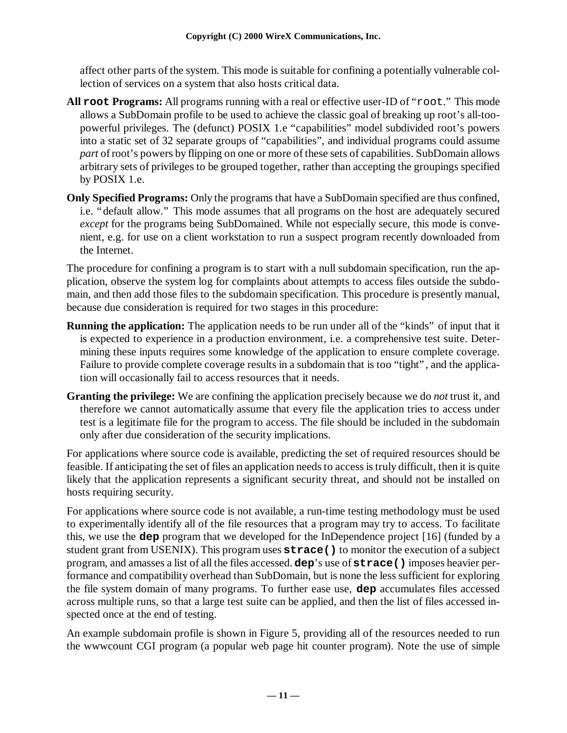affect other parts of the system. This mode is suitable for confining a potentially vulnerable collection of services on a system that also hosts critical data.

- **All root Programs:** All programs running with a real or effective user-ID of "root." This mode allows a SubDomain profile to be used to achieve the classic goal of breaking up root's all-toopowerful privileges. The (defunct) POSIX 1.e "capabilities" model subdivided root's powers into a static set of 32 separate groups of "capabilities", and individual programs could assume *part* of root's powers by flipping on one or more of these sets of capabilities. SubDomain allows arbitrary sets of privileges to be grouped together, rather than accepting the groupings specified by POSIX 1.e.
- **Only Specified Programs:** Only the programs that have a SubDomain specified are thus confined, i.e. "default allow." This mode assumes that all programs on the host are adequately secured *except* for the programs being SubDomained. While not especially secure, this mode is convenient, e.g. for use on a client workstation to run a suspect program recently downloaded from the Internet.

The procedure for confining a program is to start with a null subdomain specification, run the application, observe the system log for complaints about attempts to access files outside the subdomain, and then add those files to the subdomain specification. This procedure is presently manual, because due consideration is required for two stages in this procedure:

- **Running the application:** The application needs to be run under all of the "kinds" of input that it is expected to experience in a production environment, i.e. a comprehensive test suite. Determining these inputs requires some knowledge of the application to ensure complete coverage. Failure to provide complete coverage results in a subdomain that is too "tight", and the application will occasionally fail to access resources that it needs.
- **Granting the privilege:** We are confining the application precisely because we do *not* trust it, and therefore we cannot automatically assume that every file the application tries to access under test is a legitimate file for the program to access. The file should be included in the subdomain only after due consideration of the security implications.

For applications where source code is available, predicting the set of required resources should be feasible. If anticipating the set of files an application needs to access is truly difficult, then it is quite likely that the application represents a significant security threat, and should not be installed on hosts requiring security.

For applications where source code is not available, a run-time testing methodology must be used to experimentally identify all of the file resources that a program may try to access. To facilitate this, we use the **dep** program that we developed for the InDependence project [16] (funded by a student grant from USENIX). This program uses **strace()** to monitor the execution of a subject program, and amasses a list of all the files accessed. **dep**'s use of **strace()** imposes heavier performance and compatibility overhead than SubDomain, but is none the less sufficient for exploring the file system domain of many programs. To further ease use, **dep** accumulates files accessed across multiple runs, so that a large test suite can be applied, and then the list of files accessed inspected once at the end of testing.

An example subdomain profile is shown in Figure 5, providing all of the resources needed to run the wwwcount CGI program (a popular web page hit counter program). Note the use of simple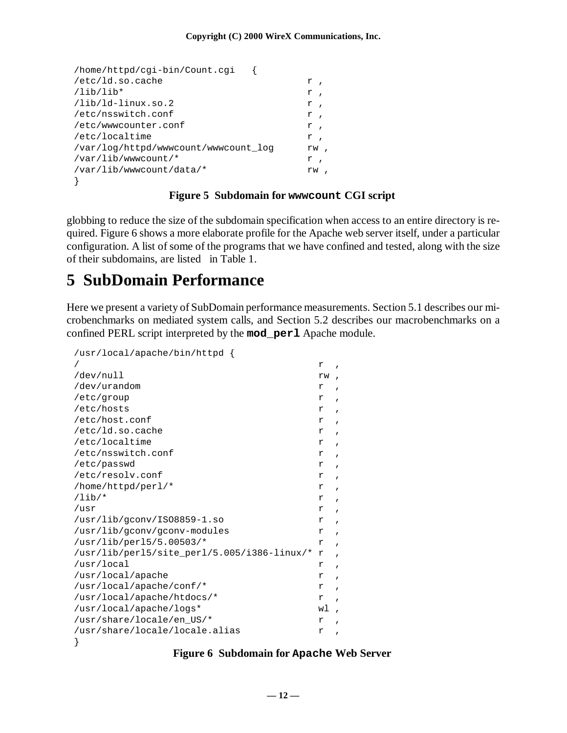| /home/httpd/cqi-bin/Count.cqi          |                               |
|----------------------------------------|-------------------------------|
| /etc/ld.so.cache                       | r,                            |
| $\lambda$ lib $\lambda$ lib $\star$    | r<br>$\overline{\phantom{a}}$ |
| /lib/ld-linux.so.2                     | r<br>$\overline{\phantom{a}}$ |
| /etc/nsswitch.conf                     | r<br>$\overline{\phantom{a}}$ |
| /etc/www.counter.conf                  | $r$ ,                         |
| /etc/localtime                         | r<br>$\overline{\phantom{a}}$ |
| /var/log/httpd/www.count/www.count log | rw                            |
| /var/lib/www.count/*                   | r,                            |
| /var/lib/www.count/data/*              | rw                            |
|                                        |                               |

#### **Figure 5 Subdomain for wwwcount CGI script**

globbing to reduce the size of the subdomain specification when access to an entire directory is required. Figure 6 shows a more elaborate profile for the Apache web server itself, under a particular configuration. A list of some of the programs that we have confined and tested, along with the size of their subdomains, are listed in Table 1.

#### **5 SubDomain Performance**

Here we present a variety of SubDomain performance measurements. Section 5.1 describes our microbenchmarks on mediated system calls, and Section 5.2 describes our macrobenchmarks on a confined PERL script interpreted by the **mod\_perl** Apache module.

| /usr/local/apache/bin/httpd {               |    |              |
|---------------------------------------------|----|--------------|
|                                             | r  |              |
| /dev/null                                   | rw |              |
| /dev/urandom                                | r  |              |
| /etc/group                                  | r  | $\mathbf{r}$ |
| /etc/hosts                                  | r  | $\mathbf{r}$ |
| /etc/host.conf                              | r  | $\mathbf{r}$ |
| /etc/ld.so.cache                            | r  | $\mathbf{r}$ |
| /etc/localtime                              | r  | $\mathbf{r}$ |
| /etc/nsswitch.conf                          | r  | $\mathbf{r}$ |
| /etc/passwd                                 | r  | $\mathbf{r}$ |
| /etc/resolv.conf                            | r  | $\mathbf{r}$ |
| /home/httpd/perl/*                          | r  | $\mathbf{r}$ |
| $/lib/*$                                    | r  | $\mathbf{r}$ |
| /usr                                        | r  | $\mathbf{r}$ |
| /usr/lib/qconv/IS08859-1.so                 | r  | $\mathbf{r}$ |
| /usr/lib/qconv/qconv-modules                | r  | $\mathbf{r}$ |
| $/usr/lib/perl5/5.00503/*$                  | r  | $\mathbf{r}$ |
| /usr/lib/perl5/site_perl/5.005/i386-linux/* | r  | $\mathbf{r}$ |
| /usr/local                                  | r  | $\mathbf{r}$ |
| /usr/local/apache                           | r  | $\mathbf{r}$ |
| /usr/local/apache/conf/*                    | r  | $\mathbf{r}$ |
| /usr/local/apache/htdocs/*                  |    |              |
| /usr/local/apache/logs*                     | wl | $\mathbf{r}$ |
| /usr/share/locale/en US/*                   | r  | $\mathbf{r}$ |
| /usr/share/locale/locale.alias              | r  | $\mathbf{r}$ |
|                                             |    |              |

#### **Figure 6 Subdomain for Apache Web Server**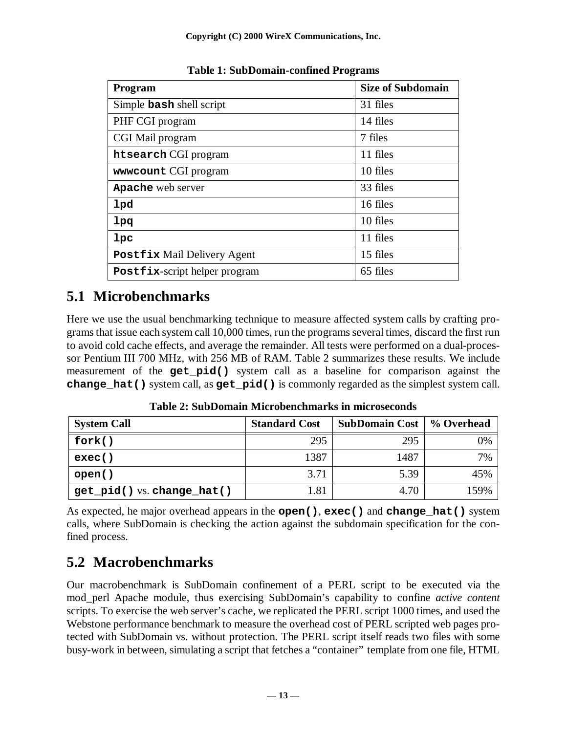| <b>Program</b>                     | <b>Size of Subdomain</b> |
|------------------------------------|--------------------------|
| Simple bash shell script           | 31 files                 |
| PHF CGI program                    | 14 files                 |
| CGI Mail program                   | 7 files                  |
| htsearch CGI program               | 11 files                 |
| www.count CGI program              | 10 files                 |
| Apache web server                  | 33 files                 |
| <b>lpd</b>                         | 16 files                 |
| lpq                                | 10 files                 |
| 1pc                                | 11 files                 |
| <b>Postfix Mail Delivery Agent</b> | 15 files                 |
| Postfix-script helper program      | 65 files                 |

**Table 1: SubDomain-confined Programs**

### **5.1 Microbenchmarks**

Here we use the usual benchmarking technique to measure affected system calls by crafting programs that issue each system call 10,000 times, run the programs several times, discard the first run to avoid cold cache effects, and average the remainder. All tests were performed on a dual-processor Pentium III 700 MHz, with 256 MB of RAM. Table 2 summarizes these results. We include measurement of the **get\_pid()** system call as a baseline for comparison against the **change\_hat()** system call, as **get\_pid()** is commonly regarded as the simplest system call.

| <b>System Call</b>         | <b>Standard Cost</b> | <b>SubDomain Cost</b> | % Overhead |
|----------------------------|----------------------|-----------------------|------------|
| fork()                     | 295                  | 295                   | 0%         |
| exec()                     | 1387                 | 1487                  | 7%         |
| open()                     | 3.71                 | 5.39                  | 45%        |
| get_pid() vs. change_hat() | 1.81                 | 4.70                  | 159%       |

**Table 2: SubDomain Microbenchmarks in microseconds**

As expected, he major overhead appears in the **open()**, **exec()** and **change\_hat()** system calls, where SubDomain is checking the action against the subdomain specification for the confined process.

### **5.2 Macrobenchmarks**

Our macrobenchmark is SubDomain confinement of a PERL script to be executed via the mod\_perl Apache module, thus exercising SubDomain's capability to confine *active content* scripts. To exercise the web server's cache, we replicated the PERL script 1000 times, and used the Webstone performance benchmark to measure the overhead cost of PERL scripted web pages protected with SubDomain vs. without protection. The PERL script itself reads two files with some busy-work in between, simulating a script that fetches a "container" template from one file, HTML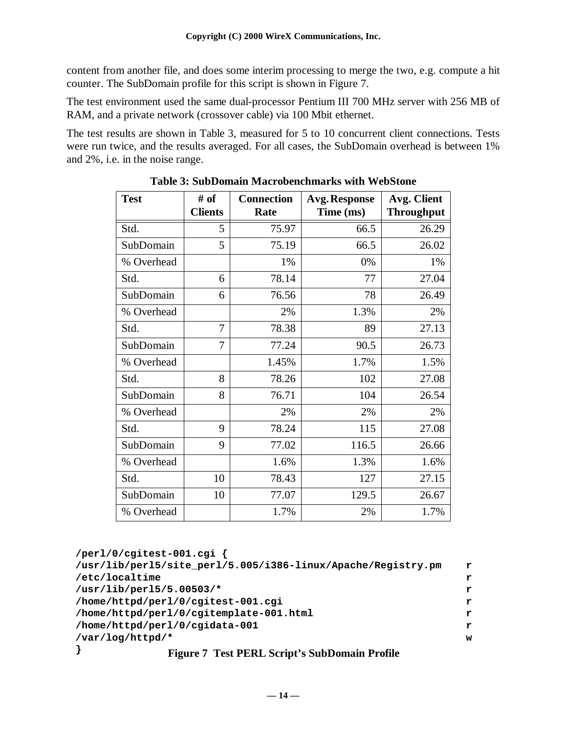content from another file, and does some interim processing to merge the two, e.g. compute a hit counter. The SubDomain profile for this script is shown in Figure 7.

The test environment used the same dual-processor Pentium III 700 MHz server with 256 MB of RAM, and a private network (crossover cable) via 100 Mbit ethernet.

The test results are shown in Table 3, measured for 5 to 10 concurrent client connections. Tests were run twice, and the results averaged. For all cases, the SubDomain overhead is between 1% and 2%, i.e. in the noise range.

| <b>Test</b> | # of<br><b>Clients</b> | <b>Connection</b><br>Rate | <b>Avg. Response</b><br>Time (ms) | <b>Avg. Client</b><br><b>Throughput</b> |
|-------------|------------------------|---------------------------|-----------------------------------|-----------------------------------------|
| Std.        | 5                      | 75.97                     | 66.5                              | 26.29                                   |
| SubDomain   | 5                      | 75.19                     | 66.5                              | 26.02                                   |
| % Overhead  |                        | 1%                        | 0%                                | 1%                                      |
| Std.        | 6                      | 78.14                     | 77                                | 27.04                                   |
| SubDomain   | 6                      | 76.56                     | 78                                | 26.49                                   |
| % Overhead  |                        | 2%                        | 1.3%                              | 2%                                      |
| Std.        | 7                      | 78.38                     | 89                                | 27.13                                   |
| SubDomain   | 7                      | 77.24                     | 90.5                              | 26.73                                   |
| % Overhead  |                        | 1.45%                     | 1.7%                              | 1.5%                                    |
| Std.        | 8                      | 78.26                     | 102                               | 27.08                                   |
| SubDomain   | 8                      | 76.71                     | 104                               | 26.54                                   |
| % Overhead  |                        | 2%                        | 2%                                | 2%                                      |
| Std.        | 9                      | 78.24                     | 115                               | 27.08                                   |
| SubDomain   | 9                      | 77.02                     | 116.5                             | 26.66                                   |
| % Overhead  |                        | 1.6%                      | 1.3%                              | 1.6%                                    |
| Std.        | 10                     | 78.43                     | 127                               | 27.15                                   |
| SubDomain   | 10                     | 77.07                     | 129.5                             | 26.67                                   |
| % Overhead  |                        | 1.7%                      | 2%                                | 1.7%                                    |

**Table 3: SubDomain Macrobenchmarks with WebStone**

```
/perl/0/cgitest-001.cgi {
/usr/lib/perl5/site_perl/5.005/i386-linux/Apache/Registry.pm r
/etc/localtime r
/usr/lib/perl5/5.00503/* r
/home/httpd/perl/0/cgitest-001.cgi r
/home/httpd/perl/0/cgitemplate-001.html r
/home/httpd/perl/0/cgidata-001 r
/var/log/httpd/* w
} Figure 7 Test PERL Script's SubDomain Profile
```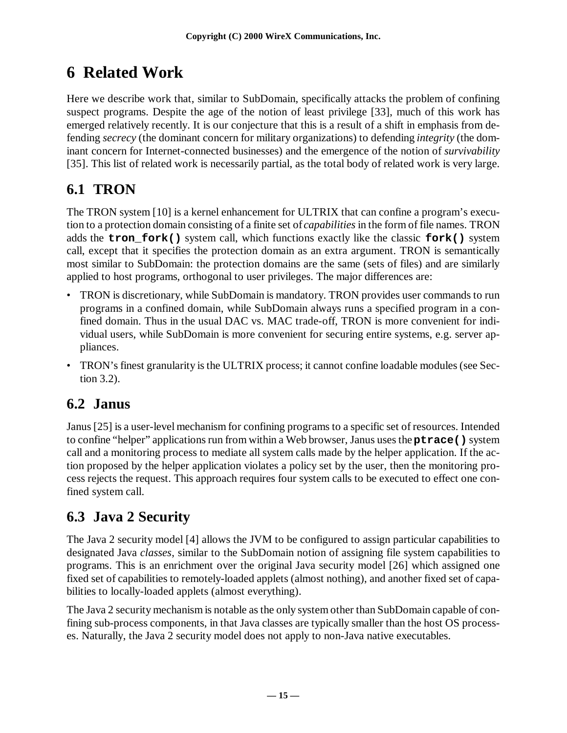## **6 Related Work**

Here we describe work that, similar to SubDomain, specifically attacks the problem of confining suspect programs. Despite the age of the notion of least privilege [33], much of this work has emerged relatively recently. It is our conjecture that this is a result of a shift in emphasis from defending *secrecy* (the dominant concern for military organizations) to defending *integrity* (the dominant concern for Internet-connected businesses) and the emergence of the notion of *survivability* [35]. This list of related work is necessarily partial, as the total body of related work is very large.

### **6.1 TRON**

The TRON system [10] is a kernel enhancement for ULTRIX that can confine a program's execution to a protection domain consisting of a finite set of *capabilities* in the form of file names. TRON adds the **tron\_fork()** system call, which functions exactly like the classic **fork()** system call, except that it specifies the protection domain as an extra argument. TRON is semantically most similar to SubDomain: the protection domains are the same (sets of files) and are similarly applied to host programs, orthogonal to user privileges. The major differences are:

- TRON is discretionary, while SubDomain is mandatory. TRON provides user commands to run programs in a confined domain, while SubDomain always runs a specified program in a confined domain. Thus in the usual DAC vs. MAC trade-off, TRON is more convenient for individual users, while SubDomain is more convenient for securing entire systems, e.g. server appliances.
- TRON's finest granularity is the ULTRIX process; it cannot confine loadable modules (see Section 3.2).

### **6.2 Janus**

Janus [25] is a user-level mechanism for confining programs to a specific set of resources. Intended to confine "helper" applications run from within a Web browser, Janus uses the **ptrace()** system call and a monitoring process to mediate all system calls made by the helper application. If the action proposed by the helper application violates a policy set by the user, then the monitoring process rejects the request. This approach requires four system calls to be executed to effect one confined system call.

### **6.3 Java 2 Security**

The Java 2 security model [4] allows the JVM to be configured to assign particular capabilities to designated Java *classes*, similar to the SubDomain notion of assigning file system capabilities to programs. This is an enrichment over the original Java security model [26] which assigned one fixed set of capabilities to remotely-loaded applets (almost nothing), and another fixed set of capabilities to locally-loaded applets (almost everything).

The Java 2 security mechanism is notable as the only system other than SubDomain capable of confining sub-process components, in that Java classes are typically smaller than the host OS processes. Naturally, the Java 2 security model does not apply to non-Java native executables.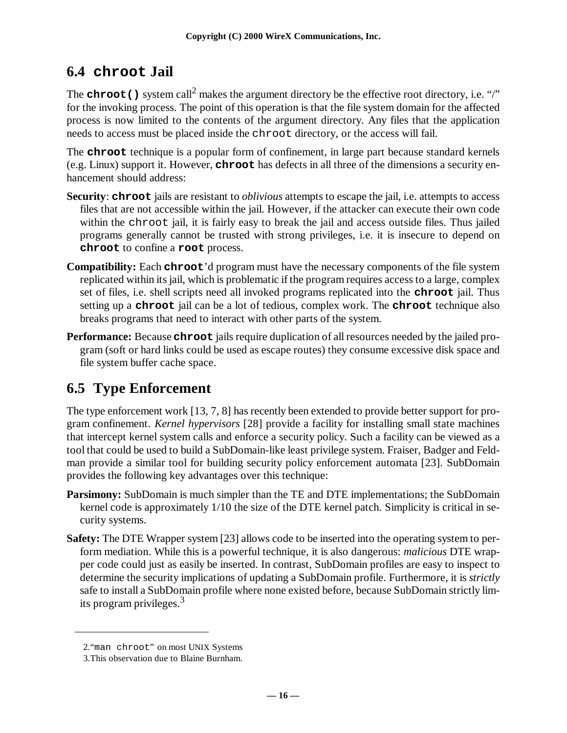#### **6.4 chroot Jail**

The **chroot** () system call<sup>2</sup> makes the argument directory be the effective root directory, i.e. "/" for the invoking process. The point of this operation is that the file system domain for the affected process is now limited to the contents of the argument directory. Any files that the application needs to access must be placed inside the chroot directory, or the access will fail.

The **chroot** technique is a popular form of confinement, in large part because standard kernels (e.g. Linux) support it. However, **chroot** has defects in all three of the dimensions a security enhancement should address:

- **Security**: **chroot** jails are resistant to *oblivious* attempts to escape the jail, i.e. attempts to access files that are not accessible within the jail. However, if the attacker can execute their own code within the chroot jail, it is fairly easy to break the jail and access outside files. Thus jailed programs generally cannot be trusted with strong privileges, i.e. it is insecure to depend on **chroot** to confine a **root** process.
- **Compatibility:** Each **chroot**'d program must have the necessary components of the file system replicated within its jail, which is problematic if the program requires access to a large, complex set of files, i.e. shell scripts need all invoked programs replicated into the **chroot** jail. Thus setting up a **chroot** jail can be a lot of tedious, complex work. The **chroot** technique also breaks programs that need to interact with other parts of the system.
- **Performance:** Because **chroot** jails require duplication of all resources needed by the jailed program (soft or hard links could be used as escape routes) they consume excessive disk space and file system buffer cache space.

### **6.5 Type Enforcement**

The type enforcement work [13, 7, 8] has recently been extended to provide better support for program confinement. *Kernel hypervisors* [28] provide a facility for installing small state machines that intercept kernel system calls and enforce a security policy. Such a facility can be viewed as a tool that could be used to build a SubDomain-like least privilege system. Fraiser, Badger and Feldman provide a similar tool for building security policy enforcement automata [23]. SubDomain provides the following key advantages over this technique:

- **Parsimony:** SubDomain is much simpler than the TE and DTE implementations; the SubDomain kernel code is approximately 1/10 the size of the DTE kernel patch. Simplicity is critical in security systems.
- **Safety:** The DTE Wrapper system [23] allows code to be inserted into the operating system to perform mediation. While this is a powerful technique, it is also dangerous: *malicious* DTE wrapper code could just as easily be inserted. In contrast, SubDomain profiles are easy to inspect to determine the security implications of updating a SubDomain profile. Furthermore, it is *strictly* safe to install a SubDomain profile where none existed before, because SubDomain strictly limits program privileges.<sup>3</sup>

<sup>2.&</sup>quot;man chroot" on most UNIX Systems

<sup>3.</sup>This observation due to Blaine Burnham.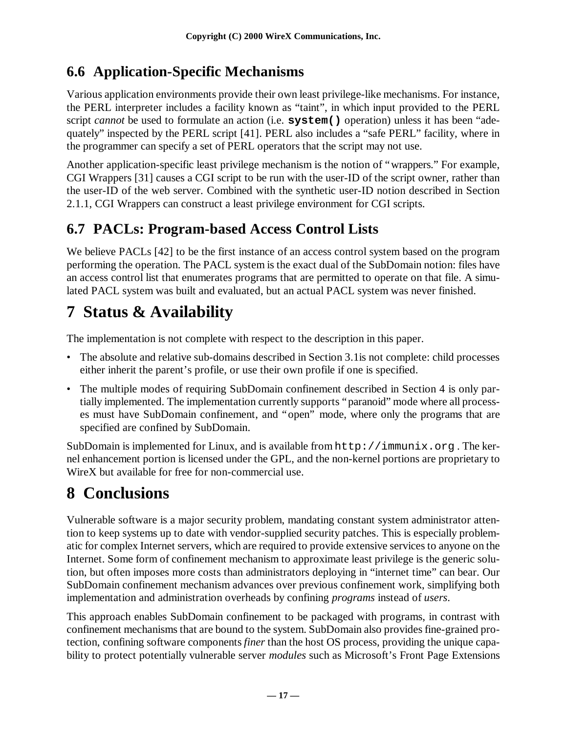#### **6.6 Application-Specific Mechanisms**

Various application environments provide their own least privilege-like mechanisms. For instance, the PERL interpreter includes a facility known as "taint", in which input provided to the PERL script *cannot* be used to formulate an action (i.e. **system()** operation) unless it has been "adequately" inspected by the PERL script [41]. PERL also includes a "safe PERL" facility, where in the programmer can specify a set of PERL operators that the script may not use.

Another application-specific least privilege mechanism is the notion of "wrappers." For example, CGI Wrappers [31] causes a CGI script to be run with the user-ID of the script owner, rather than the user-ID of the web server. Combined with the synthetic user-ID notion described in Section 2.1.1, CGI Wrappers can construct a least privilege environment for CGI scripts.

#### **6.7 PACLs: Program-based Access Control Lists**

We believe PACLs [42] to be the first instance of an access control system based on the program performing the operation. The PACL system is the exact dual of the SubDomain notion: files have an access control list that enumerates programs that are permitted to operate on that file. A simulated PACL system was built and evaluated, but an actual PACL system was never finished.

### **7 Status & Availability**

The implementation is not complete with respect to the description in this paper.

- The absolute and relative sub-domains described in Section 3.1is not complete: child processes either inherit the parent's profile, or use their own profile if one is specified.
- The multiple modes of requiring SubDomain confinement described in Section 4 is only partially implemented. The implementation currently supports "paranoid" mode where all processes must have SubDomain confinement, and "open" mode, where only the programs that are specified are confined by SubDomain.

SubDomain is implemented for Linux, and is available from  $http://immunix.org$ . The kernel enhancement portion is licensed under the GPL, and the non-kernel portions are proprietary to WireX but available for free for non-commercial use.

## **8 Conclusions**

Vulnerable software is a major security problem, mandating constant system administrator attention to keep systems up to date with vendor-supplied security patches. This is especially problematic for complex Internet servers, which are required to provide extensive services to anyone on the Internet. Some form of confinement mechanism to approximate least privilege is the generic solution, but often imposes more costs than administrators deploying in "internet time" can bear. Our SubDomain confinement mechanism advances over previous confinement work, simplifying both implementation and administration overheads by confining *programs* instead of *users*.

This approach enables SubDomain confinement to be packaged with programs, in contrast with confinement mechanisms that are bound to the system. SubDomain also provides fine-grained protection, confining software components *finer* than the host OS process, providing the unique capability to protect potentially vulnerable server *modules* such as Microsoft's Front Page Extensions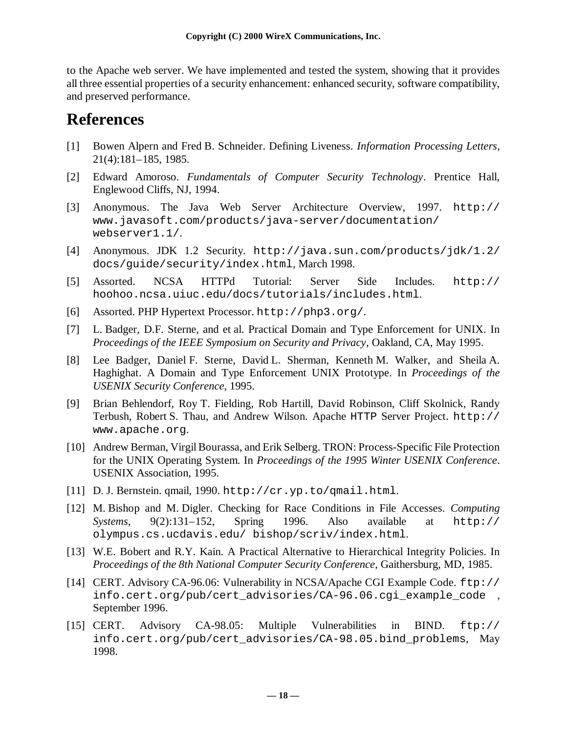to the Apache web server. We have implemented and tested the system, showing that it provides all three essential properties of a security enhancement: enhanced security, software compatibility, and preserved performance.

### **References**

- [1] Bowen Alpern and Fred B. Schneider. Defining Liveness. *Information Processing Letters*, 21(4):181–185, 1985.
- [2] Edward Amoroso. *Fundamentals of Computer Security Technology*. Prentice Hall, Englewood Cliffs, NJ, 1994.
- [3] Anonymous. The Java Web Server Architecture Overview, 1997. http:// www.javasoft.com/products/java-server/documentation/ webserver1.1/.
- [4] Anonymous. JDK 1.2 Security. http://java.sun.com/products/jdk/1.2/ docs/guide/security/index.html, March 1998.
- [5] Assorted. NCSA HTTPd Tutorial: Server Side Includes. http:// hoohoo.ncsa.uiuc.edu/docs/tutorials/includes.html.
- [6] Assorted. PHP Hypertext Processor. http://php3.org/.
- [7] L. Badger, D.F. Sterne, and et al. Practical Domain and Type Enforcement for UNIX. In *Proceedings of the IEEE Symposium on Security and Privacy*, Oakland, CA, May 1995.
- [8] Lee Badger, Daniel F. Sterne, David L. Sherman, Kenneth M. Walker, and Sheila A. Haghighat. A Domain and Type Enforcement UNIX Prototype. In *Proceedings of the USENIX Security Conference*, 1995.
- [9] Brian Behlendorf, Roy T. Fielding, Rob Hartill, David Robinson, Cliff Skolnick, Randy Terbush, Robert S. Thau, and Andrew Wilson. Apache HTTP Server Project. http:// www.apache.org.
- [10] Andrew Berman, Virgil Bourassa, and Erik Selberg. TRON: Process-Specific File Protection for the UNIX Operating System. In *Proceedings of the 1995 Winter USENIX Conference*. USENIX Association, 1995.
- [11] D. J. Bernstein. qmail, 1990. http://cr.yp.to/qmail.html.
- [12] M. Bishop and M. Digler. Checking for Race Conditions in File Accesses. *Computing Systems*, 9(2):131–152, Spring 1996. Also available at http:// olympus.cs.ucdavis.edu/ bishop/scriv/index.html.
- [13] W.E. Bobert and R.Y. Kain. A Practical Alternative to Hierarchical Integrity Policies. In *Proceedings of the 8th National Computer Security Conference*, Gaithersburg, MD, 1985.
- [14] CERT. Advisory CA-96.06: Vulnerability in NCSA/Apache CGI Example Code. ftp:// info.cert.org/pub/cert\_advisories/CA-96.06.cgi\_example\_code , September 1996.
- [15] CERT. Advisory CA-98.05: Multiple Vulnerabilities in BIND. ftp:// info.cert.org/pub/cert\_advisories/CA-98.05.bind\_problems, May 1998.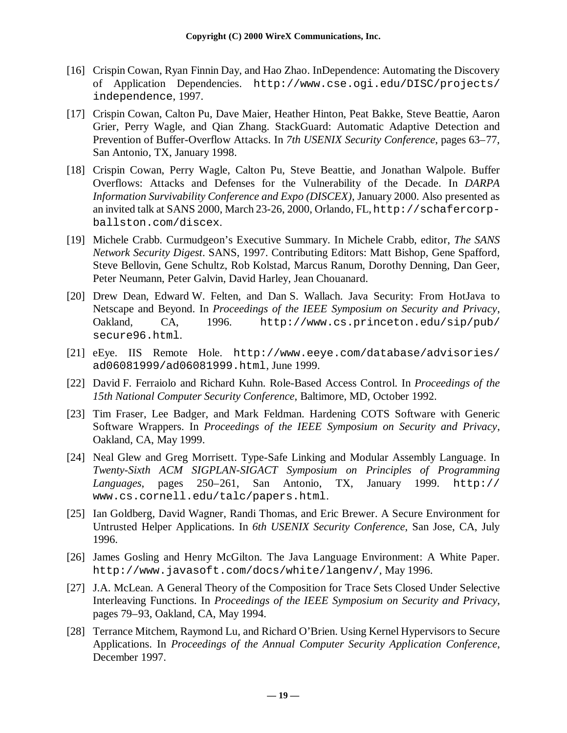- [16] Crispin Cowan, Ryan Finnin Day, and Hao Zhao. InDependence: Automating the Discovery of Application Dependencies. http://www.cse.ogi.edu/DISC/projects/ independence, 1997.
- [17] Crispin Cowan, Calton Pu, Dave Maier, Heather Hinton, Peat Bakke, Steve Beattie, Aaron Grier, Perry Wagle, and Qian Zhang. StackGuard: Automatic Adaptive Detection and Prevention of Buffer-Overflow Attacks. In *7th USENIX Security Conference*, pages 63–77, San Antonio, TX, January 1998.
- [18] Crispin Cowan, Perry Wagle, Calton Pu, Steve Beattie, and Jonathan Walpole. Buffer Overflows: Attacks and Defenses for the Vulnerability of the Decade. In *DARPA Information Survivability Conference and Expo (DISCEX)*, January 2000. Also presented as an invited talk at SANS 2000, March 23-26, 2000, Orlando, FL, http://schafercorpballston.com/discex.
- [19] Michele Crabb. Curmudgeon's Executive Summary. In Michele Crabb, editor, *The SANS Network Security Digest*. SANS, 1997. Contributing Editors: Matt Bishop, Gene Spafford, Steve Bellovin, Gene Schultz, Rob Kolstad, Marcus Ranum, Dorothy Denning, Dan Geer, Peter Neumann, Peter Galvin, David Harley, Jean Chouanard.
- [20] Drew Dean, Edward W. Felten, and Dan S. Wallach. Java Security: From HotJava to Netscape and Beyond. In *Proceedings of the IEEE Symposium on Security and Privacy*, Oakland, CA, 1996. http://www.cs.princeton.edu/sip/pub/ secure96.html.
- [21] eEye. IIS Remote Hole. http://www.eeye.com/database/advisories/ ad06081999/ad06081999.html, June 1999.
- [22] David F. Ferraiolo and Richard Kuhn. Role-Based Access Control. In *Proceedings of the 15th National Computer Security Conference*, Baltimore, MD, October 1992.
- [23] Tim Fraser, Lee Badger, and Mark Feldman. Hardening COTS Software with Generic Software Wrappers. In *Proceedings of the IEEE Symposium on Security and Privacy*, Oakland, CA, May 1999.
- [24] Neal Glew and Greg Morrisett. Type-Safe Linking and Modular Assembly Language. In *Twenty-Sixth ACM SIGPLAN-SIGACT Symposium on Principles of Programming Languages*, pages 250–261, San Antonio, TX, January 1999. http:// www.cs.cornell.edu/talc/papers.html.
- [25] Ian Goldberg, David Wagner, Randi Thomas, and Eric Brewer. A Secure Environment for Untrusted Helper Applications. In *6th USENIX Security Conference*, San Jose, CA, July 1996.
- [26] James Gosling and Henry McGilton. The Java Language Environment: A White Paper. http://www.javasoft.com/docs/white/langenv/, May 1996.
- [27] J.A. McLean. A General Theory of the Composition for Trace Sets Closed Under Selective Interleaving Functions. In *Proceedings of the IEEE Symposium on Security and Privacy*, pages 79–93, Oakland, CA, May 1994.
- [28] Terrance Mitchem, Raymond Lu, and Richard O'Brien. Using Kernel Hypervisors to Secure Applications. In *Proceedings of the Annual Computer Security Application Conference*, December 1997.